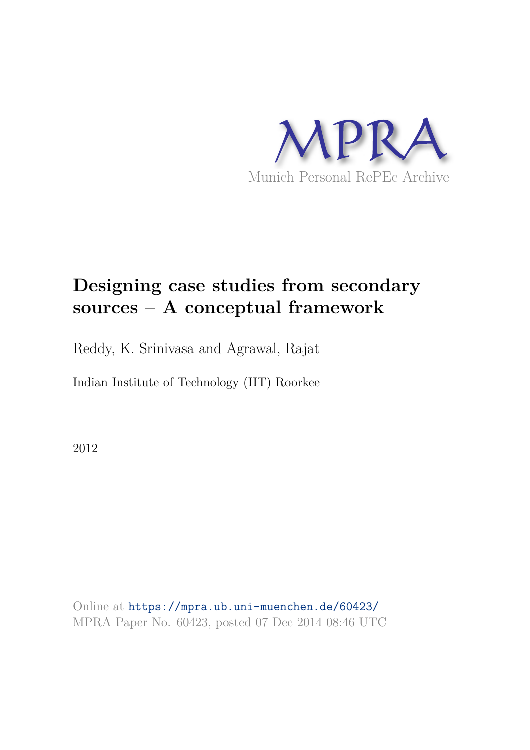

# **Designing case studies from secondary sources – A conceptual framework**

Reddy, K. Srinivasa and Agrawal, Rajat

Indian Institute of Technology (IIT) Roorkee

2012

Online at https://mpra.ub.uni-muenchen.de/60423/ MPRA Paper No. 60423, posted 07 Dec 2014 08:46 UTC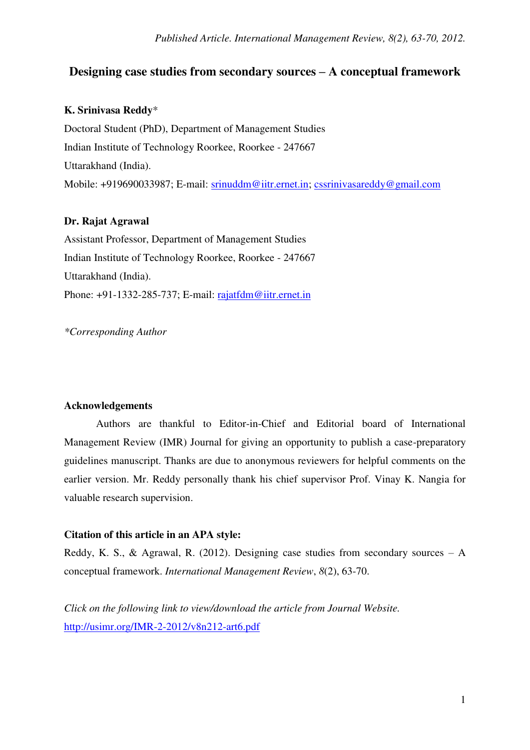# **Designing case studies from secondary sources – A conceptual framework**

# **K. Srinivasa Reddy**\*

Doctoral Student (PhD), Department of Management Studies Indian Institute of Technology Roorkee, Roorkee - 247667 Uttarakhand (India). Mobile: +919690033987; E-mail: [srinuddm@iitr.ernet.in;](mailto:srinuddm@iitr.ernet.in) [cssrinivasareddy@gmail.com](mailto:cssrinivasareddy@gmail.com)

# **Dr. Rajat Agrawal**

Assistant Professor, Department of Management Studies Indian Institute of Technology Roorkee, Roorkee - 247667 Uttarakhand (India). Phone: +91-1332-285-737; E-mail: [rajatfdm@iitr.ernet.in](mailto:rajatfdm@iitr.ernet.in) 

*\*Corresponding Author* 

## **Acknowledgements**

Authors are thankful to Editor-in-Chief and Editorial board of International Management Review (IMR) Journal for giving an opportunity to publish a case-preparatory guidelines manuscript. Thanks are due to anonymous reviewers for helpful comments on the earlier version. Mr. Reddy personally thank his chief supervisor Prof. Vinay K. Nangia for valuable research supervision.

## **Citation of this article in an APA style:**

Reddy, K. S., & Agrawal, R. (2012). Designing case studies from secondary sources – A conceptual framework. *International Management Review*, *8*(2), 63-70.

*Click on the following link to view/download the article from Journal Website.*  <http://usimr.org/IMR-2-2012/v8n212-art6.pdf>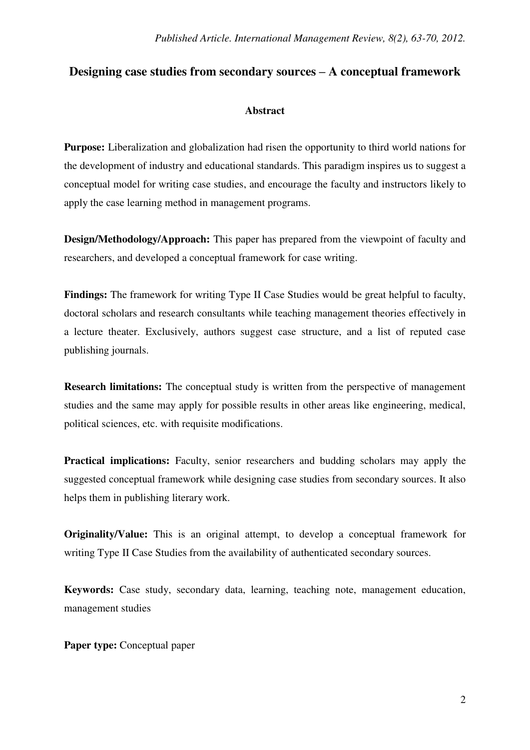# **Designing case studies from secondary sources – A conceptual framework**

## **Abstract**

**Purpose:** Liberalization and globalization had risen the opportunity to third world nations for the development of industry and educational standards. This paradigm inspires us to suggest a conceptual model for writing case studies, and encourage the faculty and instructors likely to apply the case learning method in management programs.

**Design/Methodology/Approach:** This paper has prepared from the viewpoint of faculty and researchers, and developed a conceptual framework for case writing.

**Findings:** The framework for writing Type II Case Studies would be great helpful to faculty, doctoral scholars and research consultants while teaching management theories effectively in a lecture theater. Exclusively, authors suggest case structure, and a list of reputed case publishing journals.

**Research limitations:** The conceptual study is written from the perspective of management studies and the same may apply for possible results in other areas like engineering, medical, political sciences, etc. with requisite modifications.

**Practical implications:** Faculty, senior researchers and budding scholars may apply the suggested conceptual framework while designing case studies from secondary sources. It also helps them in publishing literary work.

**Originality/Value:** This is an original attempt, to develop a conceptual framework for writing Type II Case Studies from the availability of authenticated secondary sources.

**Keywords:** Case study, secondary data, learning, teaching note, management education, management studies

**Paper type:** Conceptual paper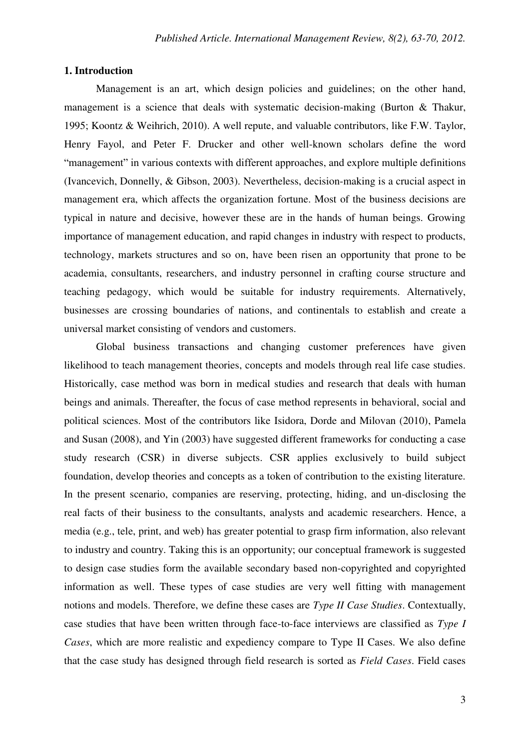#### **1. Introduction**

Management is an art, which design policies and guidelines; on the other hand, management is a science that deals with systematic decision-making (Burton & Thakur, 1995; Koontz & Weihrich, 2010). A well repute, and valuable contributors, like F.W. Taylor, Henry Fayol, and Peter F. Drucker and other well-known scholars define the word "management" in various contexts with different approaches, and explore multiple definitions (Ivancevich, Donnelly, & Gibson, 2003). Nevertheless, decision-making is a crucial aspect in management era, which affects the organization fortune. Most of the business decisions are typical in nature and decisive, however these are in the hands of human beings. Growing importance of management education, and rapid changes in industry with respect to products, technology, markets structures and so on, have been risen an opportunity that prone to be academia, consultants, researchers, and industry personnel in crafting course structure and teaching pedagogy, which would be suitable for industry requirements. Alternatively, businesses are crossing boundaries of nations, and continentals to establish and create a universal market consisting of vendors and customers.

Global business transactions and changing customer preferences have given likelihood to teach management theories, concepts and models through real life case studies. Historically, case method was born in medical studies and research that deals with human beings and animals. Thereafter, the focus of case method represents in behavioral, social and political sciences. Most of the contributors like Isidora, Dorde and Milovan (2010), Pamela and Susan (2008), and Yin (2003) have suggested different frameworks for conducting a case study research (CSR) in diverse subjects. CSR applies exclusively to build subject foundation, develop theories and concepts as a token of contribution to the existing literature. In the present scenario, companies are reserving, protecting, hiding, and un-disclosing the real facts of their business to the consultants, analysts and academic researchers. Hence, a media (e.g., tele, print, and web) has greater potential to grasp firm information, also relevant to industry and country. Taking this is an opportunity; our conceptual framework is suggested to design case studies form the available secondary based non-copyrighted and copyrighted information as well. These types of case studies are very well fitting with management notions and models. Therefore, we define these cases are *Type II Case Studies*. Contextually, case studies that have been written through face-to-face interviews are classified as *Type I Cases*, which are more realistic and expediency compare to Type II Cases. We also define that the case study has designed through field research is sorted as *Field Cases*. Field cases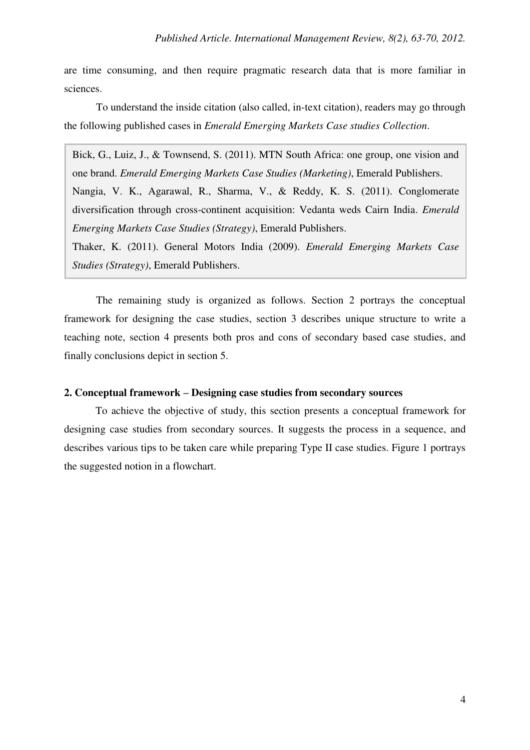are time consuming, and then require pragmatic research data that is more familiar in sciences.

To understand the inside citation (also called, in-text citation), readers may go through the following published cases in *Emerald Emerging Markets Case studies Collection*.

Bick, G., Luiz, J., & Townsend, S. (2011). MTN South Africa: one group, one vision and one brand. *Emerald Emerging Markets Case Studies (Marketing)*, Emerald Publishers. Nangia, V. K., Agarawal, R., Sharma, V., & Reddy, K. S. (2011). Conglomerate diversification through cross-continent acquisition: Vedanta weds Cairn India. *Emerald Emerging Markets Case Studies (Strategy)*, Emerald Publishers.

Thaker, K. (2011). General Motors India (2009). *Emerald Emerging Markets Case Studies (Strategy)*, Emerald Publishers.

The remaining study is organized as follows. Section 2 portrays the conceptual framework for designing the case studies, section 3 describes unique structure to write a teaching note, section 4 presents both pros and cons of secondary based case studies, and finally conclusions depict in section 5.

## **2. Conceptual framework – Designing case studies from secondary sources**

To achieve the objective of study, this section presents a conceptual framework for designing case studies from secondary sources. It suggests the process in a sequence, and describes various tips to be taken care while preparing Type II case studies. Figure 1 portrays the suggested notion in a flowchart.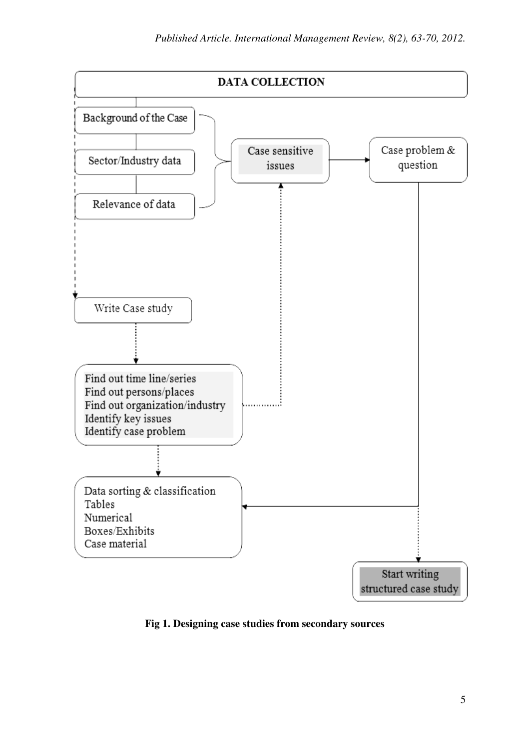

**Fig 1. Designing case studies from secondary sources**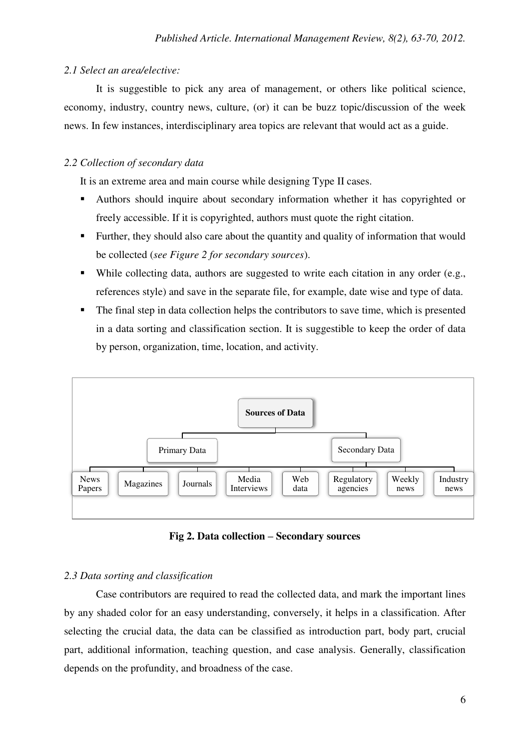#### *2.1 Select an area/elective:*

It is suggestible to pick any area of management, or others like political science, economy, industry, country news, culture, (or) it can be buzz topic/discussion of the week news. In few instances, interdisciplinary area topics are relevant that would act as a guide.

## *2.2 Collection of secondary data*

It is an extreme area and main course while designing Type II cases.

- Authors should inquire about secondary information whether it has copyrighted or freely accessible. If it is copyrighted, authors must quote the right citation.
- Further, they should also care about the quantity and quality of information that would be collected (*see Figure 2 for secondary sources*).
- While collecting data, authors are suggested to write each citation in any order (e.g., references style) and save in the separate file, for example, date wise and type of data.
- The final step in data collection helps the contributors to save time, which is presented in a data sorting and classification section. It is suggestible to keep the order of data by person, organization, time, location, and activity.



**Fig 2. Data collection – Secondary sources** 

#### *2.3 Data sorting and classification*

Case contributors are required to read the collected data, and mark the important lines by any shaded color for an easy understanding, conversely, it helps in a classification. After selecting the crucial data, the data can be classified as introduction part, body part, crucial part, additional information, teaching question, and case analysis. Generally, classification depends on the profundity, and broadness of the case.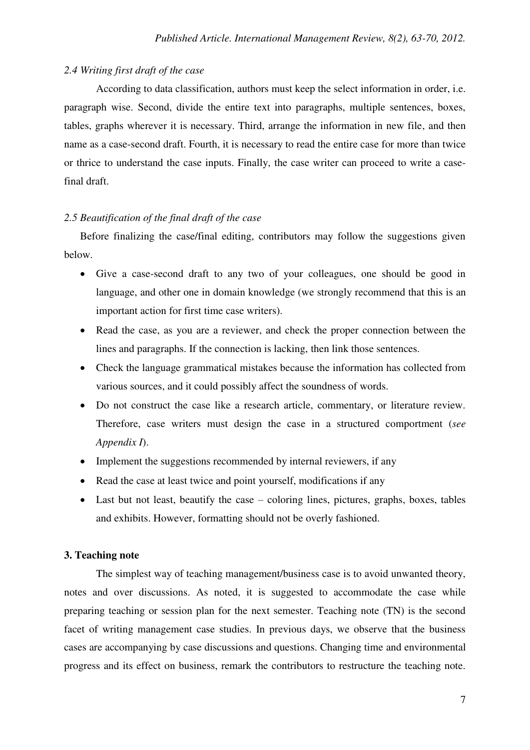#### *2.4 Writing first draft of the case*

According to data classification, authors must keep the select information in order, i.e. paragraph wise. Second, divide the entire text into paragraphs, multiple sentences, boxes, tables, graphs wherever it is necessary. Third, arrange the information in new file, and then name as a case-second draft. Fourth, it is necessary to read the entire case for more than twice or thrice to understand the case inputs. Finally, the case writer can proceed to write a casefinal draft.

#### *2.5 Beautification of the final draft of the case*

Before finalizing the case/final editing, contributors may follow the suggestions given below.

- Give a case-second draft to any two of your colleagues, one should be good in language, and other one in domain knowledge (we strongly recommend that this is an important action for first time case writers).
- Read the case, as you are a reviewer, and check the proper connection between the lines and paragraphs. If the connection is lacking, then link those sentences.
- Check the language grammatical mistakes because the information has collected from various sources, and it could possibly affect the soundness of words.
- Do not construct the case like a research article, commentary, or literature review. Therefore, case writers must design the case in a structured comportment (*see Appendix I*).
- Implement the suggestions recommended by internal reviewers, if any
- Read the case at least twice and point yourself, modifications if any
- Last but not least, beautify the case coloring lines, pictures, graphs, boxes, tables and exhibits. However, formatting should not be overly fashioned.

## **3. Teaching note**

The simplest way of teaching management/business case is to avoid unwanted theory, notes and over discussions. As noted, it is suggested to accommodate the case while preparing teaching or session plan for the next semester. Teaching note (TN) is the second facet of writing management case studies. In previous days, we observe that the business cases are accompanying by case discussions and questions. Changing time and environmental progress and its effect on business, remark the contributors to restructure the teaching note.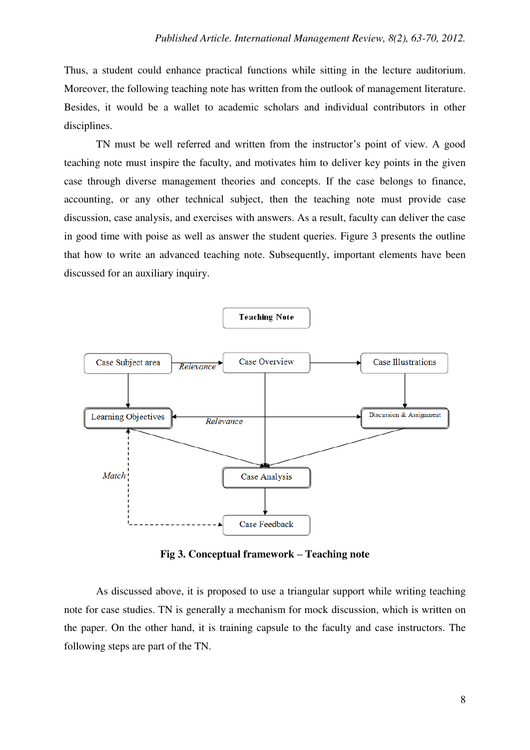Thus, a student could enhance practical functions while sitting in the lecture auditorium. Moreover, the following teaching note has written from the outlook of management literature. Besides, it would be a wallet to academic scholars and individual contributors in other disciplines.

TN must be well referred and written from the instructor's point of view. A good teaching note must inspire the faculty, and motivates him to deliver key points in the given case through diverse management theories and concepts. If the case belongs to finance, accounting, or any other technical subject, then the teaching note must provide case discussion, case analysis, and exercises with answers. As a result, faculty can deliver the case in good time with poise as well as answer the student queries. Figure 3 presents the outline that how to write an advanced teaching note. Subsequently, important elements have been discussed for an auxiliary inquiry.



**Fig 3. Conceptual framework – Teaching note**

As discussed above, it is proposed to use a triangular support while writing teaching note for case studies. TN is generally a mechanism for mock discussion, which is written on the paper. On the other hand, it is training capsule to the faculty and case instructors. The following steps are part of the TN.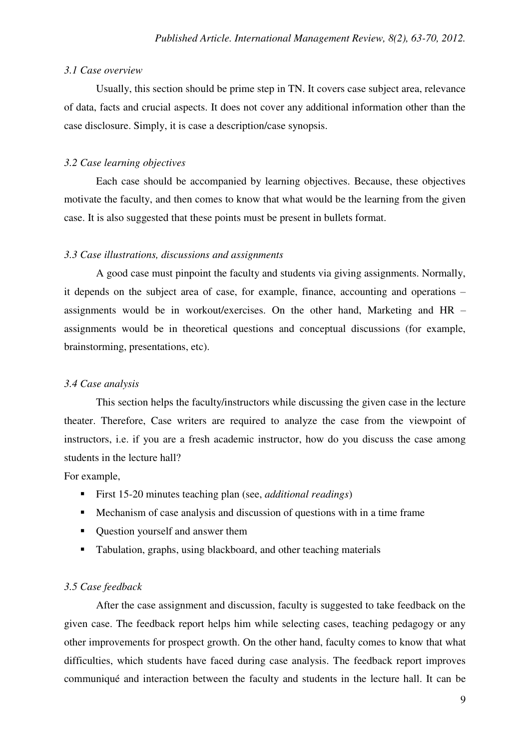#### *3.1 Case overview*

Usually, this section should be prime step in TN. It covers case subject area, relevance of data, facts and crucial aspects. It does not cover any additional information other than the case disclosure. Simply, it is case a description/case synopsis.

#### *3.2 Case learning objectives*

Each case should be accompanied by learning objectives. Because, these objectives motivate the faculty, and then comes to know that what would be the learning from the given case. It is also suggested that these points must be present in bullets format.

#### *3.3 Case illustrations, discussions and assignments*

A good case must pinpoint the faculty and students via giving assignments. Normally, it depends on the subject area of case, for example, finance, accounting and operations – assignments would be in workout/exercises. On the other hand, Marketing and HR – assignments would be in theoretical questions and conceptual discussions (for example, brainstorming, presentations, etc).

#### *3.4 Case analysis*

This section helps the faculty/instructors while discussing the given case in the lecture theater. Therefore, Case writers are required to analyze the case from the viewpoint of instructors, i.e. if you are a fresh academic instructor, how do you discuss the case among students in the lecture hall?

For example,

- First 15-20 minutes teaching plan (see, *additional readings*)
- Mechanism of case analysis and discussion of questions with in a time frame
- Ouestion yourself and answer them
- Tabulation, graphs, using blackboard, and other teaching materials

#### *3.5 Case feedback*

After the case assignment and discussion, faculty is suggested to take feedback on the given case. The feedback report helps him while selecting cases, teaching pedagogy or any other improvements for prospect growth. On the other hand, faculty comes to know that what difficulties, which students have faced during case analysis. The feedback report improves communiqué and interaction between the faculty and students in the lecture hall. It can be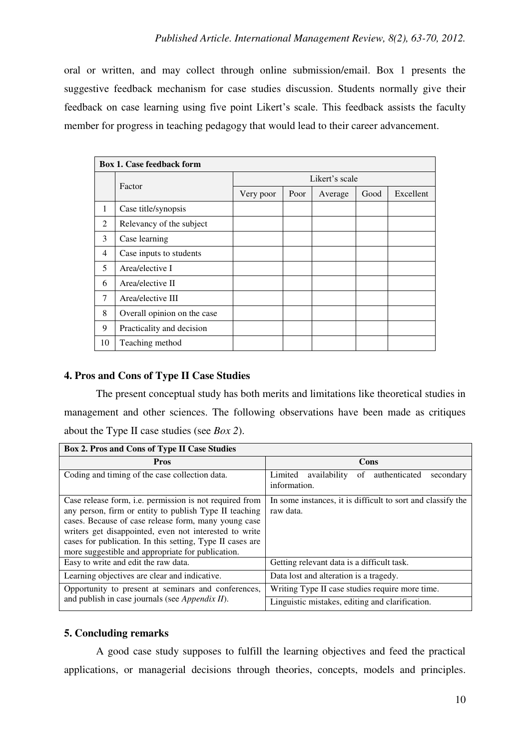oral or written, and may collect through online submission/email. Box 1 presents the suggestive feedback mechanism for case studies discussion. Students normally give their feedback on case learning using five point Likert's scale. This feedback assists the faculty member for progress in teaching pedagogy that would lead to their career advancement.

| <b>Box 1. Case feedback form</b> |                             |                |      |         |      |           |  |  |
|----------------------------------|-----------------------------|----------------|------|---------|------|-----------|--|--|
|                                  | Factor                      | Likert's scale |      |         |      |           |  |  |
|                                  |                             | Very poor      | Poor | Average | Good | Excellent |  |  |
| 1                                | Case title/synopsis         |                |      |         |      |           |  |  |
| 2                                | Relevancy of the subject    |                |      |         |      |           |  |  |
| 3                                | Case learning               |                |      |         |      |           |  |  |
| 4                                | Case inputs to students     |                |      |         |      |           |  |  |
| 5                                | Area/elective I             |                |      |         |      |           |  |  |
| 6                                | Area/elective II            |                |      |         |      |           |  |  |
| 7                                | Area/elective III           |                |      |         |      |           |  |  |
| 8                                | Overall opinion on the case |                |      |         |      |           |  |  |
| 9                                | Practicality and decision   |                |      |         |      |           |  |  |
| 10                               | Teaching method             |                |      |         |      |           |  |  |

## **4. Pros and Cons of Type II Case Studies**

The present conceptual study has both merits and limitations like theoretical studies in management and other sciences. The following observations have been made as critiques about the Type II case studies (see *Box 2*).

| <b>Box 2. Pros and Cons of Type II Case Studies</b>                                                                                                                                                                                                                                                                                                   |                                                                             |  |  |  |  |  |  |
|-------------------------------------------------------------------------------------------------------------------------------------------------------------------------------------------------------------------------------------------------------------------------------------------------------------------------------------------------------|-----------------------------------------------------------------------------|--|--|--|--|--|--|
| <b>Pros</b>                                                                                                                                                                                                                                                                                                                                           | Cons                                                                        |  |  |  |  |  |  |
| Coding and timing of the case collection data.                                                                                                                                                                                                                                                                                                        | Limited<br>authenticated<br>availability<br>secondary<br>of<br>information. |  |  |  |  |  |  |
| Case release form, i.e. permission is not required from<br>any person, firm or entity to publish Type II teaching<br>cases. Because of case release form, many young case<br>writers get disappointed, even not interested to write<br>cases for publication. In this setting, Type II cases are<br>more suggestible and appropriate for publication. | In some instances, it is difficult to sort and classify the<br>raw data.    |  |  |  |  |  |  |
| Easy to write and edit the raw data.                                                                                                                                                                                                                                                                                                                  | Getting relevant data is a difficult task.                                  |  |  |  |  |  |  |
| Learning objectives are clear and indicative.                                                                                                                                                                                                                                                                                                         | Data lost and alteration is a tragedy.                                      |  |  |  |  |  |  |
| Opportunity to present at seminars and conferences,                                                                                                                                                                                                                                                                                                   | Writing Type II case studies require more time.                             |  |  |  |  |  |  |
| and publish in case journals (see Appendix II).                                                                                                                                                                                                                                                                                                       | Linguistic mistakes, editing and clarification.                             |  |  |  |  |  |  |

## **5. Concluding remarks**

A good case study supposes to fulfill the learning objectives and feed the practical applications, or managerial decisions through theories, concepts, models and principles.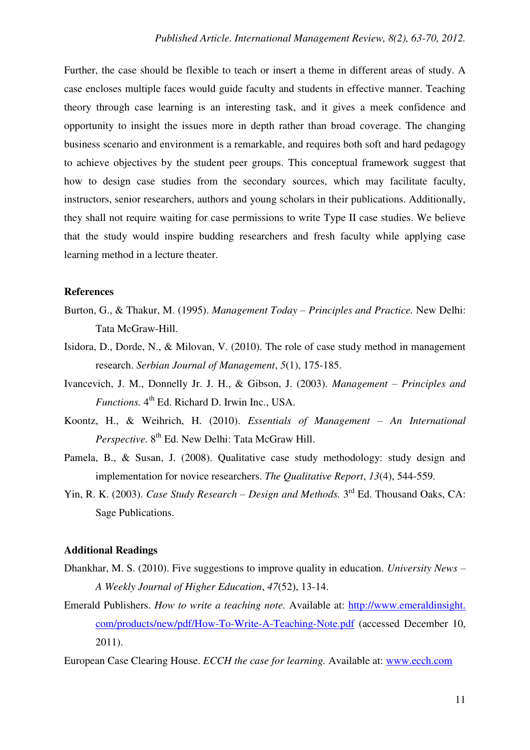Further, the case should be flexible to teach or insert a theme in different areas of study. A case encloses multiple faces would guide faculty and students in effective manner. Teaching theory through case learning is an interesting task, and it gives a meek confidence and opportunity to insight the issues more in depth rather than broad coverage. The changing business scenario and environment is a remarkable, and requires both soft and hard pedagogy to achieve objectives by the student peer groups. This conceptual framework suggest that how to design case studies from the secondary sources, which may facilitate faculty, instructors, senior researchers, authors and young scholars in their publications. Additionally, they shall not require waiting for case permissions to write Type II case studies. We believe that the study would inspire budding researchers and fresh faculty while applying case learning method in a lecture theater.

#### **References**

- Burton, G., & Thakur, M. (1995). *Management Today – Principles and Practice.* New Delhi: Tata McGraw-Hill.
- Isidora, D., Dorde, N., & Milovan, V. (2010). The role of case study method in management research. *Serbian Journal of Management*, *5*(1), 175-185.
- Ivancevich, J. M., Donnelly Jr. J. H., & Gibson, J. (2003). *Management – Principles and Functions.* 4<sup>th</sup> Ed. Richard D. Irwin Inc., USA.
- Koontz, H., & Weihrich, H. (2010). *Essentials of Management – An International Perspective.* 8<sup>th</sup> Ed. New Delhi: Tata McGraw Hill.
- Pamela, B., & Susan, J. (2008). Qualitative case study methodology: study design and implementation for novice researchers. *The Qualitative Report*, *13*(4), 544-559.
- Yin, R. K. (2003). *Case Study Research Design and Methods*. 3<sup>rd</sup> Ed. Thousand Oaks, CA: Sage Publications.

## **Additional Readings**

- Dhankhar, M. S. (2010). Five suggestions to improve quality in education. *University News – A Weekly Journal of Higher Education*, *47*(52), 13-14.
- Emerald Publishers. *How to write a teaching note.* Available at: http://www.emeraldinsight. com/products/new/pdf/How-To-Write-A-Teaching-Note.pdf (accessed December 10, 2011).

European Case Clearing House. *ECCH the case for learning.* Available at: [www.ecch.com](http://www.ecch.com/)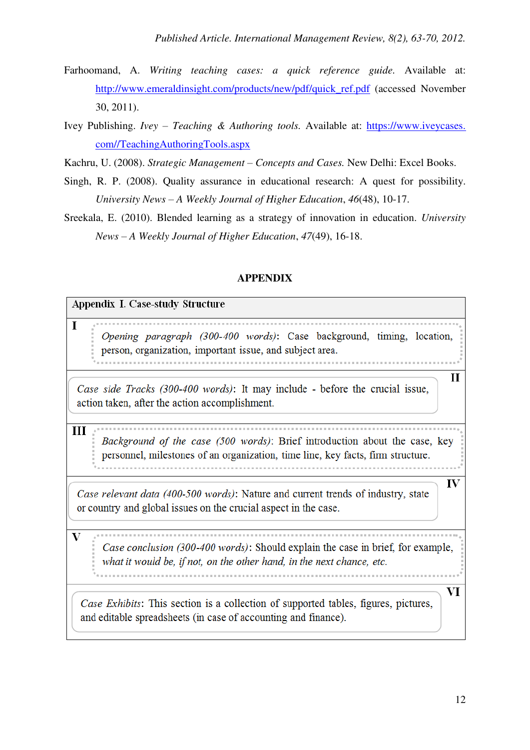- Farhoomand, A. *Writing teaching cases: a quick reference guide.* Available at: [http://www.emeraldinsight.com/products/new/pdf/quick\\_ref.pdf](http://www.emeraldinsight.com/products/new/pdf/quick_ref.pdf) (accessed November 30, 2011).
- Ivey Publishing. *Ivey – Teaching & Authoring tools.* Available at: https://www.iveycases. com//TeachingAuthoringTools.aspx
- Kachru, U. (2008). *Strategic Management – Concepts and Cases.* New Delhi: Excel Books.
- Singh, R. P. (2008). Quality assurance in educational research: A quest for possibility. *University News – A Weekly Journal of Higher Education*, *46*(48), 10-17.
- Sreekala, E. (2010). Blended learning as a strategy of innovation in education. *University News – A Weekly Journal of Higher Education*, *47*(49), 16-18.

# **APPENDIX**

| Appendix I. Case-study Structure                                                                                                                                     |  |  |  |  |  |
|----------------------------------------------------------------------------------------------------------------------------------------------------------------------|--|--|--|--|--|
| Opening paragraph (300-400 words): Case background, timing, location,<br>person, organization, important issue, and subject area.                                    |  |  |  |  |  |
| $\mathbf H$<br>Case side Tracks (300-400 words): It may include - before the crucial issue,<br>action taken, after the action accomplishment.                        |  |  |  |  |  |
| III<br>Background of the case (500 words): Brief introduction about the case, key<br>personnel, milestones of an organization, time line, key facts, firm structure. |  |  |  |  |  |
| IV<br>Case relevant data (400-500 words): Nature and current trends of industry, state<br>or country and global issues on the crucial aspect in the case.            |  |  |  |  |  |
| V<br>Case conclusion (300-400 words): Should explain the case in brief, for example,<br>what it would be, if not, on the other hand, in the next chance, etc.        |  |  |  |  |  |
| VI<br>Case Exhibits: This section is a collection of supported tables, figures, pictures,<br>and editable spreadsheets (in case of accounting and finance).          |  |  |  |  |  |